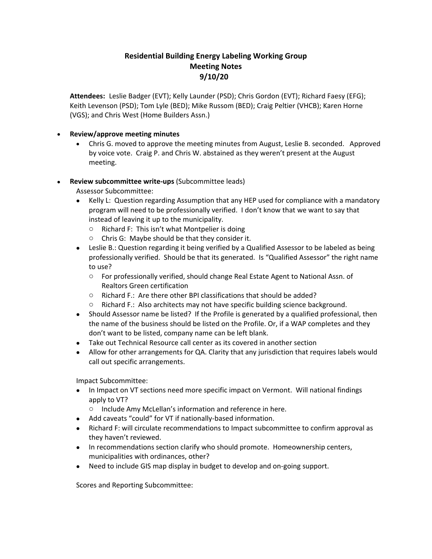## **Residential Building Energy Labeling Working Group Meeting Notes 9/10/20**

**Attendees:** Leslie Badger (EVT); Kelly Launder (PSD); Chris Gordon (EVT); Richard Faesy (EFG); Keith Levenson (PSD); Tom Lyle (BED); Mike Russom (BED); Craig Peltier (VHCB); Karen Horne (VGS); and Chris West (Home Builders Assn.)

## • **Review/approve meeting minutes**

• Chris G. moved to approve the meeting minutes from August, Leslie B. seconded. Approved by voice vote. Craig P. and Chris W. abstained as they weren't present at the August meeting.

## • **Review subcommittee write-ups** (Subcommittee leads)

Assessor Subcommittee:

- Kelly L: Question regarding Assumption that any HEP used for compliance with a mandatory program will need to be professionally verified. I don't know that we want to say that instead of leaving it up to the municipality.
	- o Richard F: This isn't what Montpelier is doing
	- o Chris G: Maybe should be that they consider it.
- Leslie B.: Question regarding it being verified by a Qualified Assessor to be labeled as being professionally verified. Should be that its generated. Is "Qualified Assessor" the right name to use?
	- o For professionally verified, should change Real Estate Agent to National Assn. of Realtors Green certification
	- o Richard F.: Are there other BPI classifications that should be added?
	- o Richard F.: Also architects may not have specific building science background.
- Should Assessor name be listed? If the Profile is generated by a qualified professional, then the name of the business should be listed on the Profile. Or, if a WAP completes and they don't want to be listed, company name can be left blank.
- Take out Technical Resource call center as its covered in another section
- Allow for other arrangements for QA. Clarity that any jurisdiction that requires labels would call out specific arrangements.

Impact Subcommittee:

- In Impact on VT sections need more specific impact on Vermont. Will national findings apply to VT?
	- o Include Amy McLellan's information and reference in here.
- Add caveats "could" for VT if nationally-based information.
- Richard F: will circulate recommendations to Impact subcommittee to confirm approval as they haven't reviewed.
- In recommendations section clarify who should promote. Homeownership centers, municipalities with ordinances, other?
- Need to include GIS map display in budget to develop and on-going support.

Scores and Reporting Subcommittee: